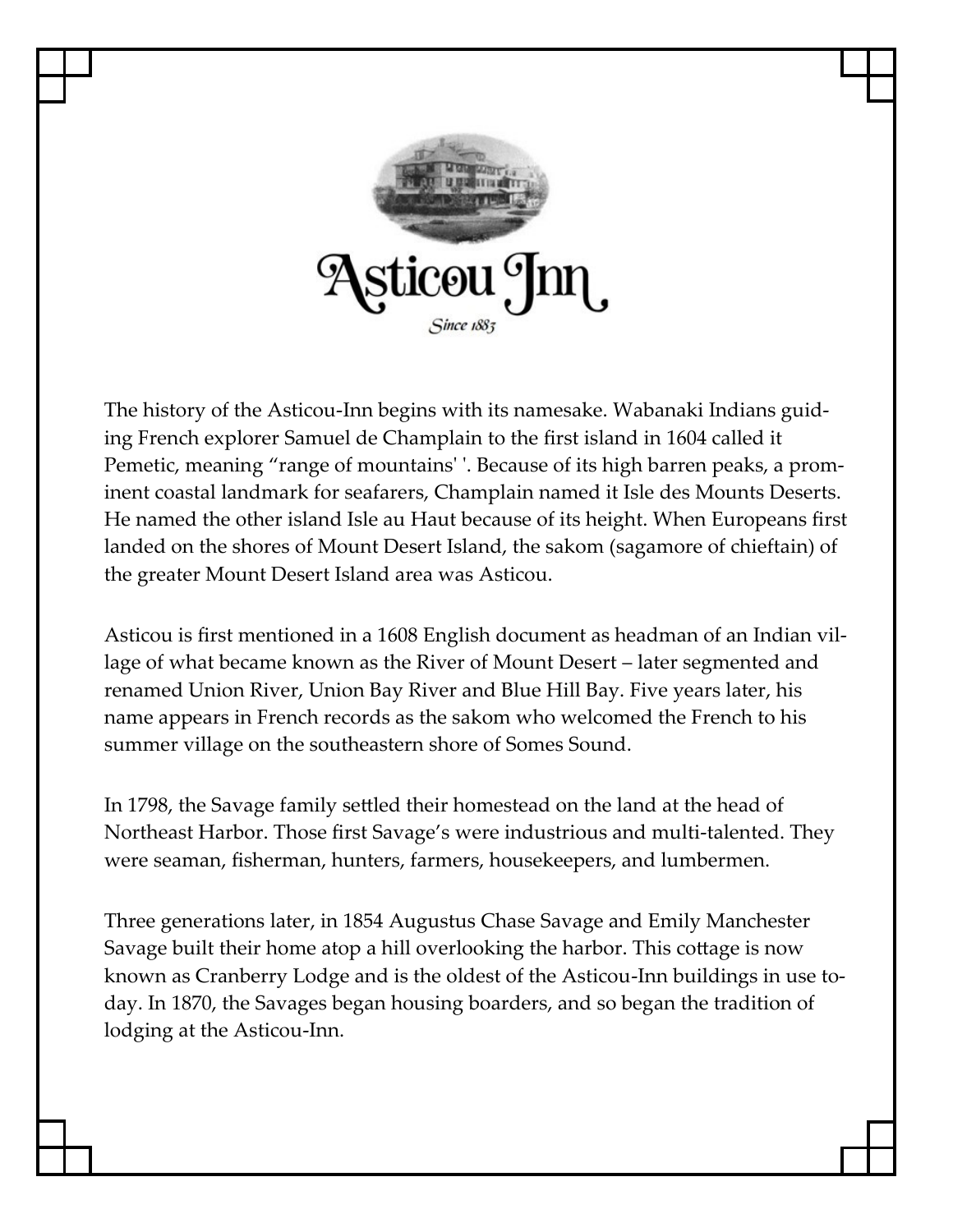

The history of the Asticou-Inn begins with its namesake. Wabanaki Indians guiding French explorer Samuel de Champlain to the first island in 1604 called it Pemetic, meaning "range of mountains' '. Because of its high barren peaks, a prominent coastal landmark for seafarers, Champlain named it Isle des Mounts Deserts. He named the other island Isle au Haut because of its height. When Europeans first landed on the shores of Mount Desert Island, the sakom (sagamore of chieftain) of the greater Mount Desert Island area was Asticou.

Asticou is first mentioned in a 1608 English document as headman of an Indian village of what became known as the River of Mount Desert – later segmented and renamed Union River, Union Bay River and Blue Hill Bay. Five years later, his name appears in French records as the sakom who welcomed the French to his summer village on the southeastern shore of Somes Sound.

In 1798, the Savage family settled their homestead on the land at the head of Northeast Harbor. Those first Savage's were industrious and multi-talented. They were seaman, fisherman, hunters, farmers, housekeepers, and lumbermen.

Three generations later, in 1854 Augustus Chase Savage and Emily Manchester Savage built their home atop a hill overlooking the harbor. This cottage is now known as Cranberry Lodge and is the oldest of the Asticou-Inn buildings in use today. In 1870, the Savages began housing boarders, and so began the tradition of lodging at the Asticou-Inn.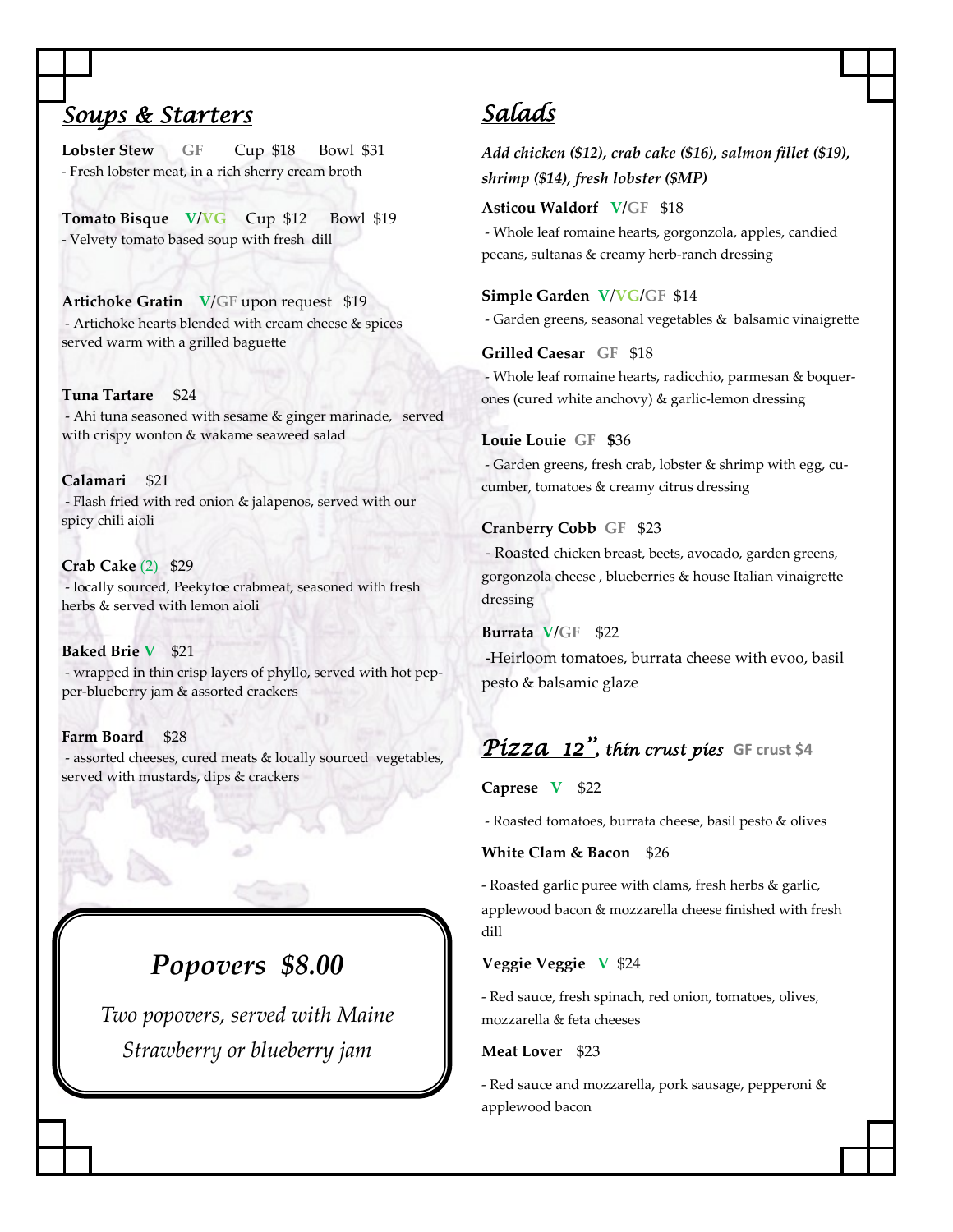## *Soups & Starters*

Lobster Stew GF Cup \$18 Bowl \$31 - Fresh lobster meat, in a rich sherry cream broth

**Tomato Bisque V/VG** Cup \$12 Bowl \$19 - Velvety tomato based soup with fresh dill

**Artichoke Gratin V**/**GF** upon request \$19 - Artichoke hearts blended with cream cheese & spices served warm with a grilled baguette

#### **Tuna Tartare** \$24

- Ahi tuna seasoned with sesame & ginger marinade, served with crispy wonton & wakame seaweed salad

**Calamari** \$21 - Flash fried with red onion & jalapenos, served with our spicy chili aioli

**Crab Cake** (2) \$29 - locally sourced, Peekytoe crabmeat, seasoned with fresh herbs & served with lemon aioli

**Baked Brie V** \$21 - wrapped in thin crisp layers of phyllo, served with hot pepper-blueberry jam & assorted crackers

**Farm Board** \$28 - assorted cheeses, cured meats & locally sourced vegetables, served with mustards, dips & crackers

# *Popovers \$8.00*

*Two popovers, served with Maine Strawberry or blueberry jam*

## *Salads*

*Add chicken (\$12), crab cake (\$16), salmon fillet (\$19), shrimp (\$14), fresh lobster (\$MP)*

**Asticou Waldorf V/GF** \$18

- Whole leaf romaine hearts, gorgonzola, apples, candied pecans, sultanas & creamy herb-ranch dressing

#### **Simple Garden V**/**VG/GF** \$14

- Garden greens, seasonal vegetables & balsamic vinaigrette

**Grilled Caesar GF** \$18

- Whole leaf romaine hearts, radicchio, parmesan & boquerones (cured white anchovy) & garlic-lemon dressing

#### **Louie Louie GF \$**36

- Garden greens, fresh crab, lobster & shrimp with egg, cucumber, tomatoes & creamy citrus dressing

#### **Cranberry Cobb GF** \$23

- Roasted chicken breast, beets, avocado, garden greens, gorgonzola cheese , blueberries & house Italian vinaigrette dressing

**Burrata V/GF** \$22 -Heirloom tomatoes, burrata cheese with evoo, basil pesto & balsamic glaze

## *Pizza 12'', thin crust pies* **GF crust \$4**

#### **Caprese V** \$22

- Roasted tomatoes, burrata cheese, basil pesto & olives

#### **White Clam & Bacon** \$26

- Roasted garlic puree with clams, fresh herbs & garlic, applewood bacon & mozzarella cheese finished with fresh dill

#### **Veggie Veggie V** \$24

- Red sauce, fresh spinach, red onion, tomatoes, olives, mozzarella & feta cheeses

#### **Meat Lover** \$23

- Red sauce and mozzarella, pork sausage, pepperoni & applewood bacon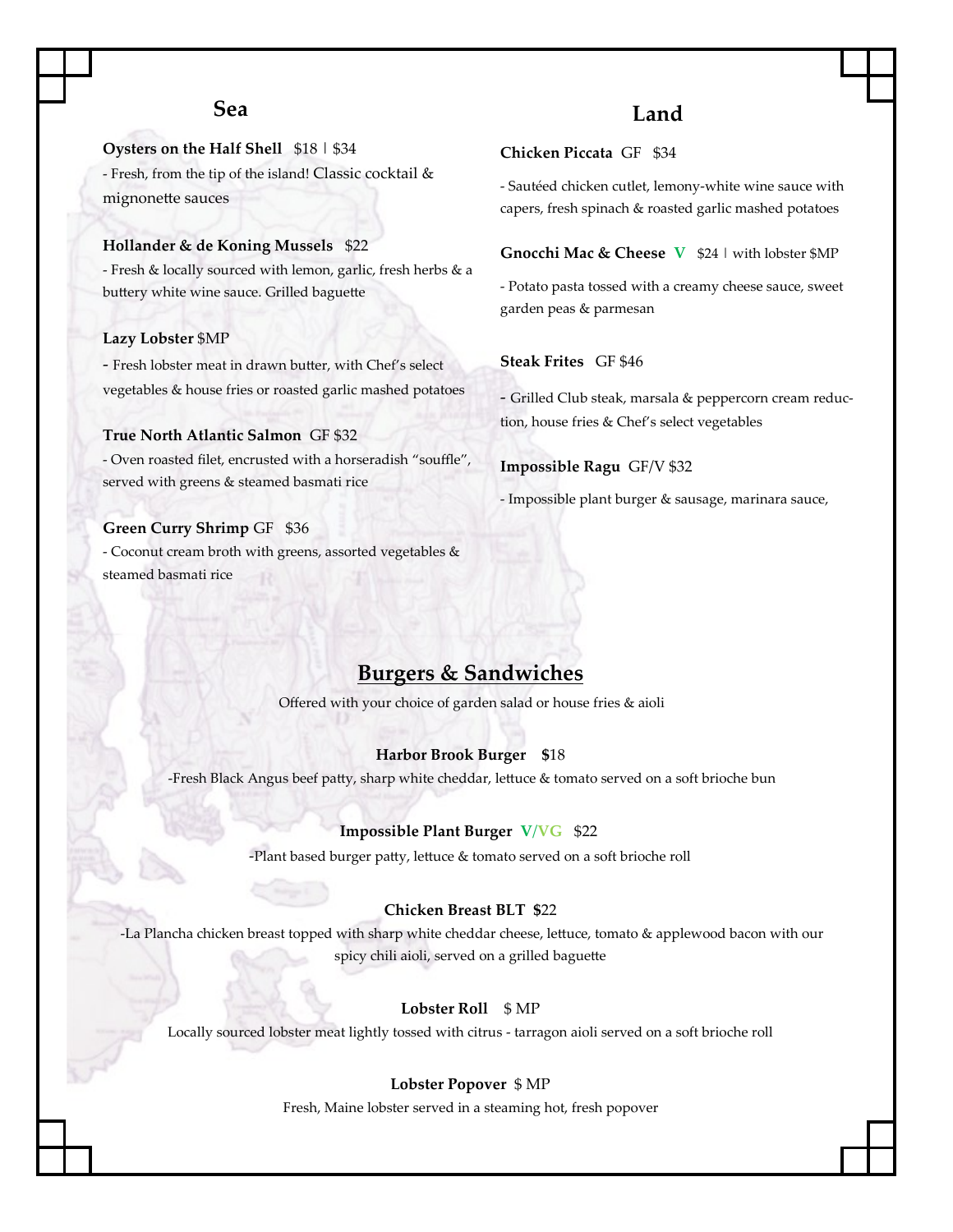### **Sea**

**Oysters on the Half Shell** \$18 | \$34

- Fresh, from the tip of the island! Classic cocktail & mignonette sauces

#### **Hollander & de Koning Mussels** \$22

- Fresh & locally sourced with lemon, garlic, fresh herbs & a buttery white wine sauce. Grilled baguette

#### **Lazy Lobster** \$MP

- Fresh lobster meat in drawn butter, with Chef's select vegetables & house fries or roasted garlic mashed potatoes

#### **True North Atlantic Salmon** GF \$32

- Oven roasted filet, encrusted with a horseradish "souffle", served with greens & steamed basmati rice

#### **Green Curry Shrimp** GF \$36

- Coconut cream broth with greens, assorted vegetables & steamed basmati rice

### **Land**

### **Chicken Piccata** GF \$34

- Sautéed chicken cutlet, lemony-white wine sauce with capers, fresh spinach & roasted garlic mashed potatoes

#### **Gnocchi Mac & Cheese V** \$24 | with lobster \$MP

- Potato pasta tossed with a creamy cheese sauce, sweet garden peas & parmesan

#### **Steak Frites** GF \$46

- Grilled Club steak, marsala & peppercorn cream reduction, house fries & Chef's select vegetables

#### **Impossible Ragu** GF/V \$32

- Impossible plant burger & sausage, marinara sauce,

### **Burgers & Sandwiches**

Offered with your choice of garden salad or house fries & aioli

#### **Harbor Brook Burger \$**18

-Fresh Black Angus beef patty, sharp white cheddar, lettuce & tomato served on a soft brioche bun

#### **Impossible Plant Burger V**/**VG** \$22

-Plant based burger patty, lettuce & tomato served on a soft brioche roll

#### **Chicken Breast BLT \$**22

-La Plancha chicken breast topped with sharp white cheddar cheese, lettuce, tomato & applewood bacon with our spicy chili aioli, served on a grilled baguette

#### **Lobster Roll** \$ MP

Locally sourced lobster meat lightly tossed with citrus - tarragon aioli served on a soft brioche roll

#### **Lobster Popover** \$ MP

Fresh, Maine lobster served in a steaming hot, fresh popover